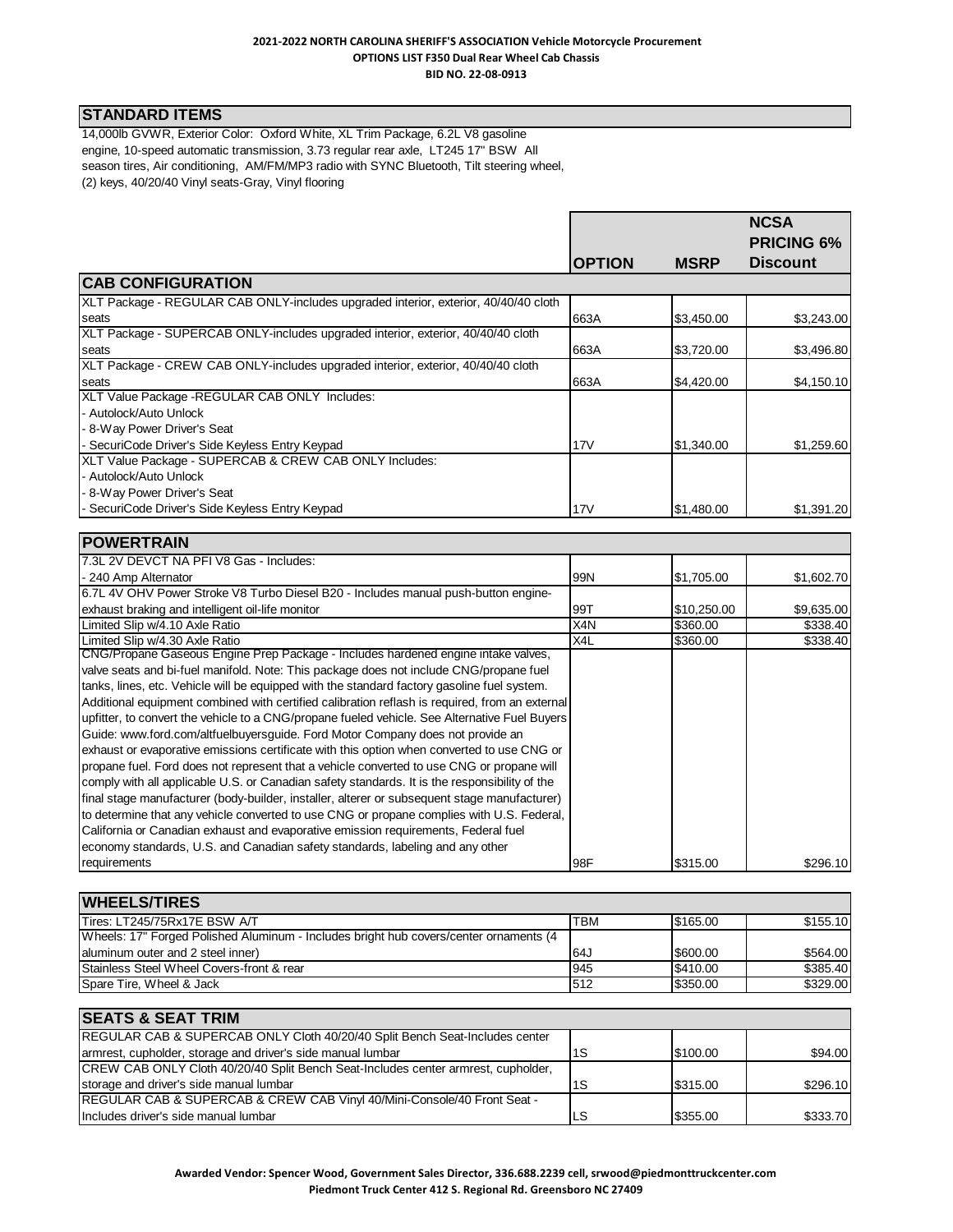#### **2021-2022 NORTH CAROLINA SHERIFF'S ASSOCIATION Vehicle Motorcycle Procurement OPTIONS LIST F350 Dual Rear Wheel Cab Chassis BID NO. 22-08-0913**

# **STANDARD ITEMS**

**POWERTRAIN**

14,000lb GVWR, Exterior Color: Oxford White, XL Trim Package, 6.2L V8 gasoline engine, 10-speed automatic transmission, 3.73 regular rear axle, LT245 17" BSW All season tires, Air conditioning, AM/FM/MP3 radio with SYNC Bluetooth, Tilt steering wheel, (2) keys, 40/20/40 Vinyl seats-Gray, Vinyl flooring

|               |             | <b>NCSA</b><br><b>PRICING 6%</b> |
|---------------|-------------|----------------------------------|
| <b>OPTION</b> | <b>MSRP</b> | <b>Discount</b>                  |
|               |             |                                  |
|               |             |                                  |
| 663A          | \$3,450.00  | \$3,243.00                       |
|               |             |                                  |
| 663A          | \$3,720.00  | \$3,496.80                       |
|               |             |                                  |
| 663A          | \$4,420.00  | \$4,150.10                       |
|               |             |                                  |
|               |             |                                  |
|               |             |                                  |
| 17V           | \$1,340.00  | \$1,259.60                       |
|               |             |                                  |
|               |             |                                  |
|               |             |                                  |
| 17V           | \$1.480.00  | \$1,391.20                       |
|               |             |                                  |

| <b>POWERTRAIN</b>                                                                              |     |             |            |
|------------------------------------------------------------------------------------------------|-----|-------------|------------|
| 7.3L 2V DEVCT NA PFI V8 Gas - Includes:                                                        |     |             |            |
| - 240 Amp Alternator                                                                           | 99N | \$1,705.00  | \$1,602.70 |
| 6.7L 4V OHV Power Stroke V8 Turbo Diesel B20 - Includes manual push-button engine-             |     |             |            |
| exhaust braking and intelligent oil-life monitor                                               | 99T | \$10,250.00 | \$9,635.00 |
| Limited Slip w/4.10 Axle Ratio                                                                 | X4N | \$360.00    | \$338.40   |
| Limited Slip w/4.30 Axle Ratio                                                                 | X4L | \$360.00    | \$338.40   |
| CNG/Propane Gaseous Engine Prep Package - Includes hardened engine intake valves,              |     |             |            |
| valve seats and bi-fuel manifold. Note: This package does not include CNG/propane fuel         |     |             |            |
| tanks, lines, etc. Vehicle will be equipped with the standard factory gasoline fuel system.    |     |             |            |
| Additional equipment combined with certified calibration reflash is required, from an external |     |             |            |
| upfitter, to convert the vehicle to a CNG/propane fueled vehicle. See Alternative Fuel Buyers  |     |             |            |
| Guide: www.ford.com/altfuelbuyersguide. Ford Motor Company does not provide an                 |     |             |            |
| exhaust or evaporative emissions certificate with this option when converted to use CNG or     |     |             |            |
| propane fuel. Ford does not represent that a vehicle converted to use CNG or propane will      |     |             |            |
| comply with all applicable U.S. or Canadian safety standards. It is the responsibility of the  |     |             |            |
| final stage manufacturer (body-builder, installer, alterer or subsequent stage manufacturer)   |     |             |            |
| to determine that any vehicle converted to use CNG or propane complies with U.S. Federal,      |     |             |            |
| California or Canadian exhaust and evaporative emission requirements, Federal fuel             |     |             |            |
| economy standards, U.S. and Canadian safety standards, labeling and any other                  |     |             |            |
| requirements                                                                                   | 98F | \$315.00    | \$296.10   |

| <b>WHEELS/TIRES</b>                                                                   |            |          |          |
|---------------------------------------------------------------------------------------|------------|----------|----------|
| Tires: LT245/75Rx17E BSW A/T                                                          | <b>TBM</b> | \$165.00 | \$155.10 |
| Wheels: 17" Forged Polished Aluminum - Includes bright hub covers/center ornaments (4 |            |          |          |
| aluminum outer and 2 steel inner)                                                     | I64J       | \$600.00 | \$564.00 |
| Stainless Steel Wheel Covers-front & rear                                             | 945        | \$410.00 | \$385.40 |
| Spare Tire, Wheel & Jack                                                              | 1512       | \$350.00 | \$329.00 |

| <b>SEATS &amp; SEAT TRIM</b>                                                           |     |          |          |
|----------------------------------------------------------------------------------------|-----|----------|----------|
| REGULAR CAB & SUPERCAB ONLY Cloth 40/20/40 Split Bench Seat-Includes center            |     |          |          |
| armrest, cupholder, storage and driver's side manual lumbar                            | 1S  | \$100.00 | \$94.00  |
| CREW CAB ONLY Cloth 40/20/40 Split Bench Seat-Includes center armrest, cupholder,      |     |          |          |
| storage and driver's side manual lumbar                                                | 1S  | \$315.00 | \$296.10 |
| <b>REGULAR CAB &amp; SUPERCAB &amp; CREW CAB Vinyl 40/Mini-Console/40 Front Seat -</b> |     |          |          |
| Includes driver's side manual lumbar                                                   | .LS | \$355.00 | \$333.70 |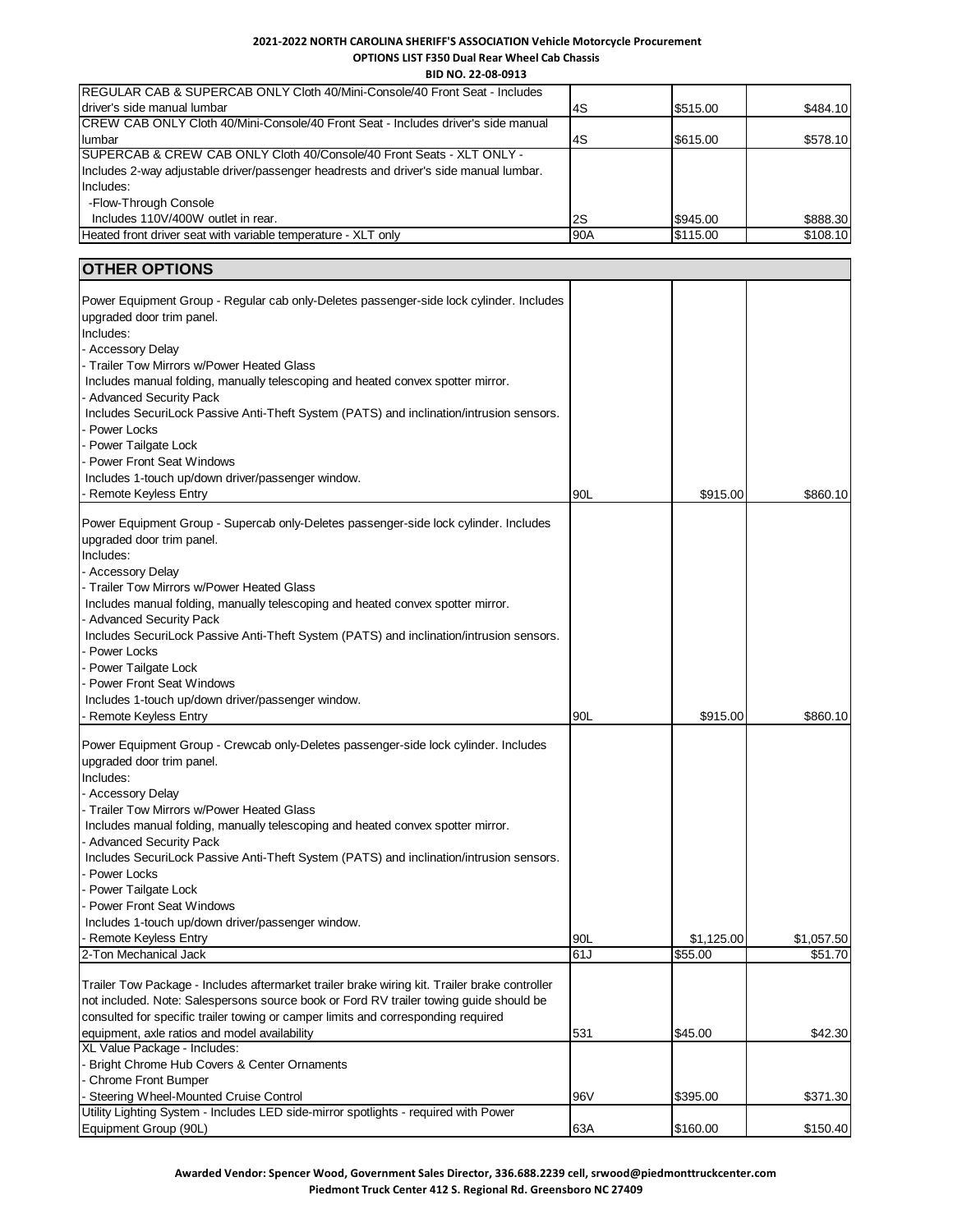### **2021-2022 NORTH CAROLINA SHERIFF'S ASSOCIATION Vehicle Motorcycle Procurement OPTIONS LIST F350 Dual Rear Wheel Cab Chassis**

**BID NO. 22-08-0913**

| <b>IREGULAR CAB &amp; SUPERCAB ONLY Cloth 40/Mini-Console/40 Front Seat - Includes</b> |     |          |          |
|----------------------------------------------------------------------------------------|-----|----------|----------|
| driver's side manual lumbar                                                            | 4S  | \$515.00 | \$484.10 |
| ICREW CAB ONLY Cloth 40/Mini-Console/40 Front Seat - Includes driver's side manual     |     |          |          |
| lumbar                                                                                 | 4S  | \$615.00 | \$578.10 |
| <b>ISUPERCAB &amp; CREW CAB ONLY Cloth 40/Console/40 Front Seats - XLT ONLY -</b>      |     |          |          |
| Includes 2-way adjustable driver/passenger headrests and driver's side manual lumbar.  |     |          |          |
| Includes:                                                                              |     |          |          |
| -Flow-Through Console                                                                  |     |          |          |
| Includes 110V/400W outlet in rear.                                                     | 2S  | \$945.00 | \$888.30 |
| Heated front driver seat with variable temperature - XLT only                          | 90A | \$115.00 | \$108.10 |

# **OTHER OPTIONS**

| Power Equipment Group - Regular cab only-Deletes passenger-side lock cylinder. Includes       |     |            |            |
|-----------------------------------------------------------------------------------------------|-----|------------|------------|
| upgraded door trim panel.                                                                     |     |            |            |
| Includes:                                                                                     |     |            |            |
| - Accessory Delay                                                                             |     |            |            |
| - Trailer Tow Mirrors w/Power Heated Glass                                                    |     |            |            |
| Includes manual folding, manually telescoping and heated convex spotter mirror.               |     |            |            |
| - Advanced Security Pack                                                                      |     |            |            |
| Includes SecuriLock Passive Anti-Theft System (PATS) and inclination/intrusion sensors.       |     |            |            |
| Power Locks                                                                                   |     |            |            |
| Power Tailgate Lock                                                                           |     |            |            |
| <b>Power Front Seat Windows</b>                                                               |     |            |            |
| Includes 1-touch up/down driver/passenger window.                                             |     |            |            |
| - Remote Keyless Entry                                                                        | 90L | \$915.00   | \$860.10   |
|                                                                                               |     |            |            |
| Power Equipment Group - Supercab only-Deletes passenger-side lock cylinder. Includes          |     |            |            |
| upgraded door trim panel.                                                                     |     |            |            |
| Includes:                                                                                     |     |            |            |
| - Accessory Delay<br>- Trailer Tow Mirrors w/Power Heated Glass                               |     |            |            |
|                                                                                               |     |            |            |
| Includes manual folding, manually telescoping and heated convex spotter mirror.               |     |            |            |
| <b>Advanced Security Pack</b>                                                                 |     |            |            |
| Includes SecuriLock Passive Anti-Theft System (PATS) and inclination/intrusion sensors.       |     |            |            |
| - Power Locks<br>- Power Tailgate Lock                                                        |     |            |            |
|                                                                                               |     |            |            |
| <b>Power Front Seat Windows</b><br>Includes 1-touch up/down driver/passenger window.          |     |            |            |
|                                                                                               | 90L |            | \$860.10   |
| Remote Keyless Entry                                                                          |     | \$915.00   |            |
| Power Equipment Group - Crewcab only-Deletes passenger-side lock cylinder. Includes           |     |            |            |
| upgraded door trim panel.                                                                     |     |            |            |
| Includes:                                                                                     |     |            |            |
| - Accessory Delay                                                                             |     |            |            |
| - Trailer Tow Mirrors w/Power Heated Glass                                                    |     |            |            |
| Includes manual folding, manually telescoping and heated convex spotter mirror.               |     |            |            |
| - Advanced Security Pack                                                                      |     |            |            |
| Includes SecuriLock Passive Anti-Theft System (PATS) and inclination/intrusion sensors.       |     |            |            |
| - Power Locks                                                                                 |     |            |            |
| Power Tailgate Lock                                                                           |     |            |            |
| <b>Power Front Seat Windows</b>                                                               |     |            |            |
| Includes 1-touch up/down driver/passenger window.                                             |     |            |            |
| <b>Remote Keyless Entry</b>                                                                   | 90L | \$1,125.00 | \$1,057.50 |
| 2-Ton Mechanical Jack                                                                         | 61J | \$55.00    | \$51.70    |
|                                                                                               |     |            |            |
| Trailer Tow Package - Includes aftermarket trailer brake wiring kit. Trailer brake controller |     |            |            |
| not included. Note: Salespersons source book or Ford RV trailer towing guide should be        |     |            |            |
| consulted for specific trailer towing or camper limits and corresponding required             |     |            |            |
| equipment, axle ratios and model availability                                                 | 531 | \$45.00    | \$42.30    |
| XL Value Package - Includes:                                                                  |     |            |            |
| Bright Chrome Hub Covers & Center Ornaments                                                   |     |            |            |
| - Chrome Front Bumper                                                                         |     |            |            |
| - Steering Wheel-Mounted Cruise Control                                                       | 96V | \$395.00   | \$371.30   |
| Utility Lighting System - Includes LED side-mirror spotlights - required with Power           |     |            |            |
| Equipment Group (90L)                                                                         | 63A | \$160.00   | \$150.40   |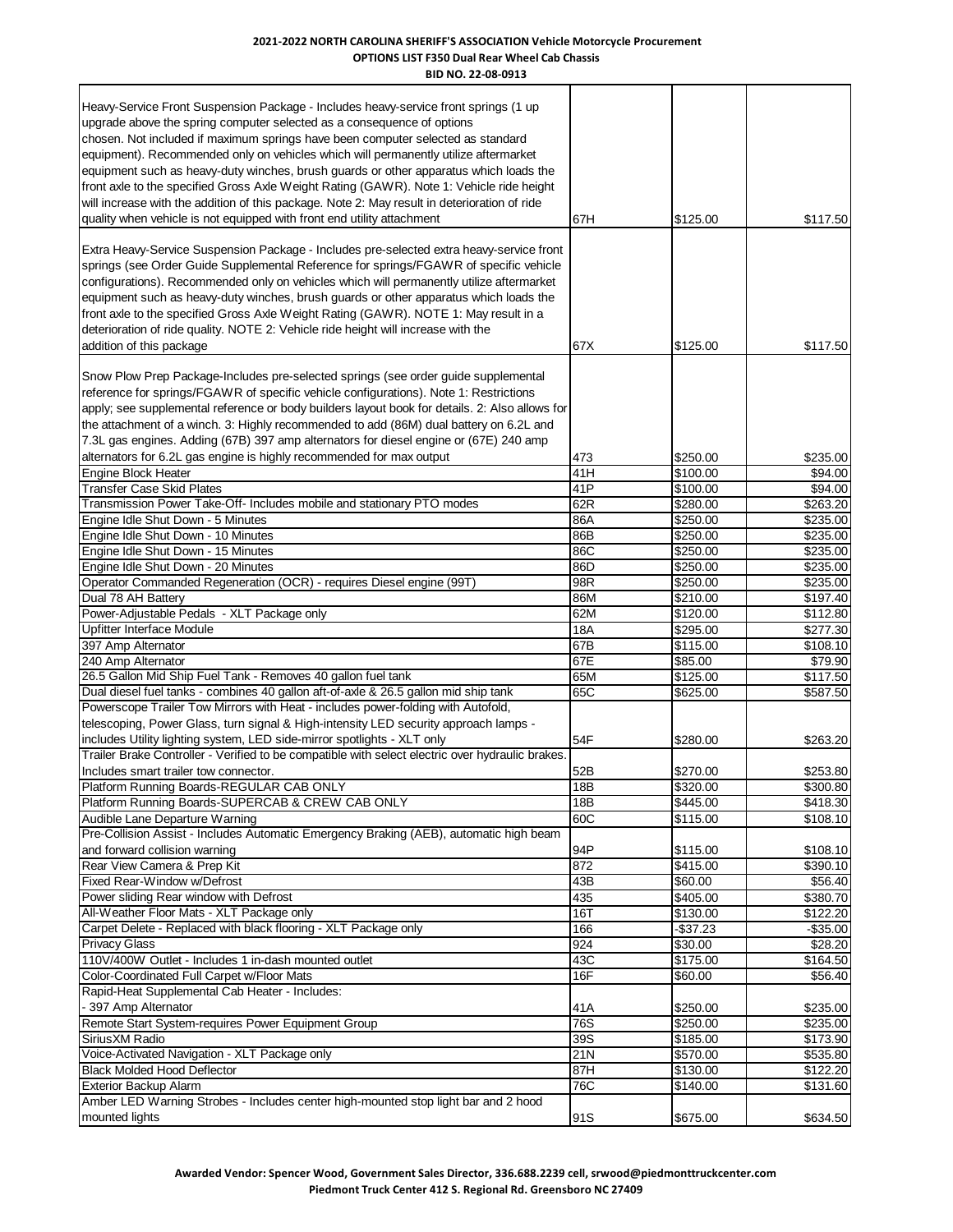#### **2021-2022 NORTH CAROLINA SHERIFF'S ASSOCIATION Vehicle Motorcycle Procurement OPTIONS LIST F350 Dual Rear Wheel Cab Chassis BID NO. 22-08-0913**

| Heavy-Service Front Suspension Package - Includes heavy-service front springs (1 up              |     |           |             |
|--------------------------------------------------------------------------------------------------|-----|-----------|-------------|
| upgrade above the spring computer selected as a consequence of options                           |     |           |             |
| chosen. Not included if maximum springs have been computer selected as standard                  |     |           |             |
|                                                                                                  |     |           |             |
| equipment). Recommended only on vehicles which will permanently utilize aftermarket              |     |           |             |
| equipment such as heavy-duty winches, brush guards or other apparatus which loads the            |     |           |             |
| front axle to the specified Gross Axle Weight Rating (GAWR). Note 1: Vehicle ride height         |     |           |             |
| will increase with the addition of this package. Note 2: May result in deterioration of ride     |     |           |             |
| quality when vehicle is not equipped with front end utility attachment                           | 67H | \$125.00  | \$117.50    |
| Extra Heavy-Service Suspension Package - Includes pre-selected extra heavy-service front         |     |           |             |
| springs (see Order Guide Supplemental Reference for springs/FGAWR of specific vehicle            |     |           |             |
| configurations). Recommended only on vehicles which will permanently utilize aftermarket         |     |           |             |
| equipment such as heavy-duty winches, brush guards or other apparatus which loads the            |     |           |             |
| front axle to the specified Gross Axle Weight Rating (GAWR). NOTE 1: May result in a             |     |           |             |
| deterioration of ride quality. NOTE 2: Vehicle ride height will increase with the                |     |           |             |
| addition of this package                                                                         | 67X | \$125.00  | \$117.50    |
|                                                                                                  |     |           |             |
| Snow Plow Prep Package-Includes pre-selected springs (see order guide supplemental               |     |           |             |
| reference for springs/FGAWR of specific vehicle configurations). Note 1: Restrictions            |     |           |             |
| apply; see supplemental reference or body builders layout book for details. 2: Also allows for   |     |           |             |
| the attachment of a winch. 3: Highly recommended to add (86M) dual battery on 6.2L and           |     |           |             |
| 7.3L gas engines. Adding (67B) 397 amp alternators for diesel engine or (67E) 240 amp            |     |           |             |
| alternators for 6.2L gas engine is highly recommended for max output                             | 473 | \$250.00  | \$235.00    |
| <b>Engine Block Heater</b>                                                                       | 41H | \$100.00  | \$94.00     |
| <b>Transfer Case Skid Plates</b>                                                                 | 41P | \$100.00  | \$94.00     |
| Transmission Power Take-Off- Includes mobile and stationary PTO modes                            | 62R | \$280.00  | \$263.20    |
| Engine Idle Shut Down - 5 Minutes                                                                | 86A | \$250.00  | \$235.00    |
| Engine Idle Shut Down - 10 Minutes                                                               | 86B | \$250.00  | \$235.00    |
| Engine Idle Shut Down - 15 Minutes                                                               | 86C | \$250.00  | \$235.00    |
| Engine Idle Shut Down - 20 Minutes                                                               | 86D | \$250.00  | \$235.00    |
| Operator Commanded Regeneration (OCR) - requires Diesel engine (99T)                             | 98R | \$250.00  | \$235.00    |
| Dual 78 AH Battery                                                                               | 86M | \$210.00  | \$197.40    |
| Power-Adjustable Pedals - XLT Package only                                                       | 62M | \$120.00  | \$112.80    |
| Upfitter Interface Module                                                                        | 18A | \$295.00  | \$277.30    |
| 397 Amp Alternator                                                                               | 67B | \$115.00  | \$108.10    |
| 240 Amp Alternator                                                                               | 67E | \$85.00   | \$79.90     |
| 26.5 Gallon Mid Ship Fuel Tank - Removes 40 gallon fuel tank                                     | 65M | \$125.00  | \$117.50    |
| Dual diesel fuel tanks - combines 40 gallon aft-of-axle & 26.5 gallon mid ship tank              | 65C | \$625.00  | \$587.50    |
| Powerscope Trailer Tow Mirrors with Heat - includes power-folding with Autofold,                 |     |           |             |
| telescoping, Power Glass, turn signal & High-intensity LED security approach lamps -             |     |           |             |
| includes Utility lighting system, LED side-mirror spotlights - XLT only                          | 54F | \$280.00  | \$263.20    |
| Trailer Brake Controller - Verified to be compatible with select electric over hydraulic brakes. |     |           |             |
| Includes smart trailer tow connector.                                                            | 52B | \$270.00  | \$253.80    |
| Platform Running Boards-REGULAR CAB ONLY                                                         | 18B | \$320.00  | \$300.80    |
| Platform Running Boards-SUPERCAB & CREW CAB ONLY                                                 | 18B | \$445.00  | \$418.30    |
| Audible Lane Departure Warning                                                                   | 60C | \$115.00  | \$108.10    |
| Pre-Collision Assist - Includes Automatic Emergency Braking (AEB), automatic high beam           |     |           |             |
| and forward collision warning                                                                    | 94P | \$115.00  | \$108.10    |
| Rear View Camera & Prep Kit                                                                      | 872 | \$415.00  | \$390.10    |
| Fixed Rear-Window w/Defrost                                                                      | 43B | \$60.00   | \$56.40     |
| Power sliding Rear window with Defrost                                                           | 435 | \$405.00  | \$380.70    |
| All-Weather Floor Mats - XLT Package only                                                        | 16T | \$130.00  | \$122.20    |
| Carpet Delete - Replaced with black flooring - XLT Package only                                  | 166 | $-$37.23$ | $-$ \$35.00 |
| <b>Privacy Glass</b>                                                                             | 924 | \$30.00   | \$28.20     |
| 110V/400W Outlet - Includes 1 in-dash mounted outlet                                             | 43C | \$175.00  | \$164.50    |
| Color-Coordinated Full Carpet w/Floor Mats                                                       | 16F | \$60.00   | \$56.40     |
| Rapid-Heat Supplemental Cab Heater - Includes:                                                   |     |           |             |
| - 397 Amp Alternator                                                                             | 41A | \$250.00  | \$235.00    |
| Remote Start System-requires Power Equipment Group                                               | 76S | \$250.00  | \$235.00    |
| SiriusXM Radio                                                                                   | 39S | \$185.00  | \$173.90    |
| Voice-Activated Navigation - XLT Package only                                                    | 21N | \$570.00  | \$535.80    |
| <b>Black Molded Hood Deflector</b>                                                               | 87H | \$130.00  | \$122.20    |
| Exterior Backup Alarm                                                                            | 76C | \$140.00  | \$131.60    |
| Amber LED Warning Strobes - Includes center high-mounted stop light bar and 2 hood               |     |           |             |
| mounted lights                                                                                   | 91S | \$675.00  | \$634.50    |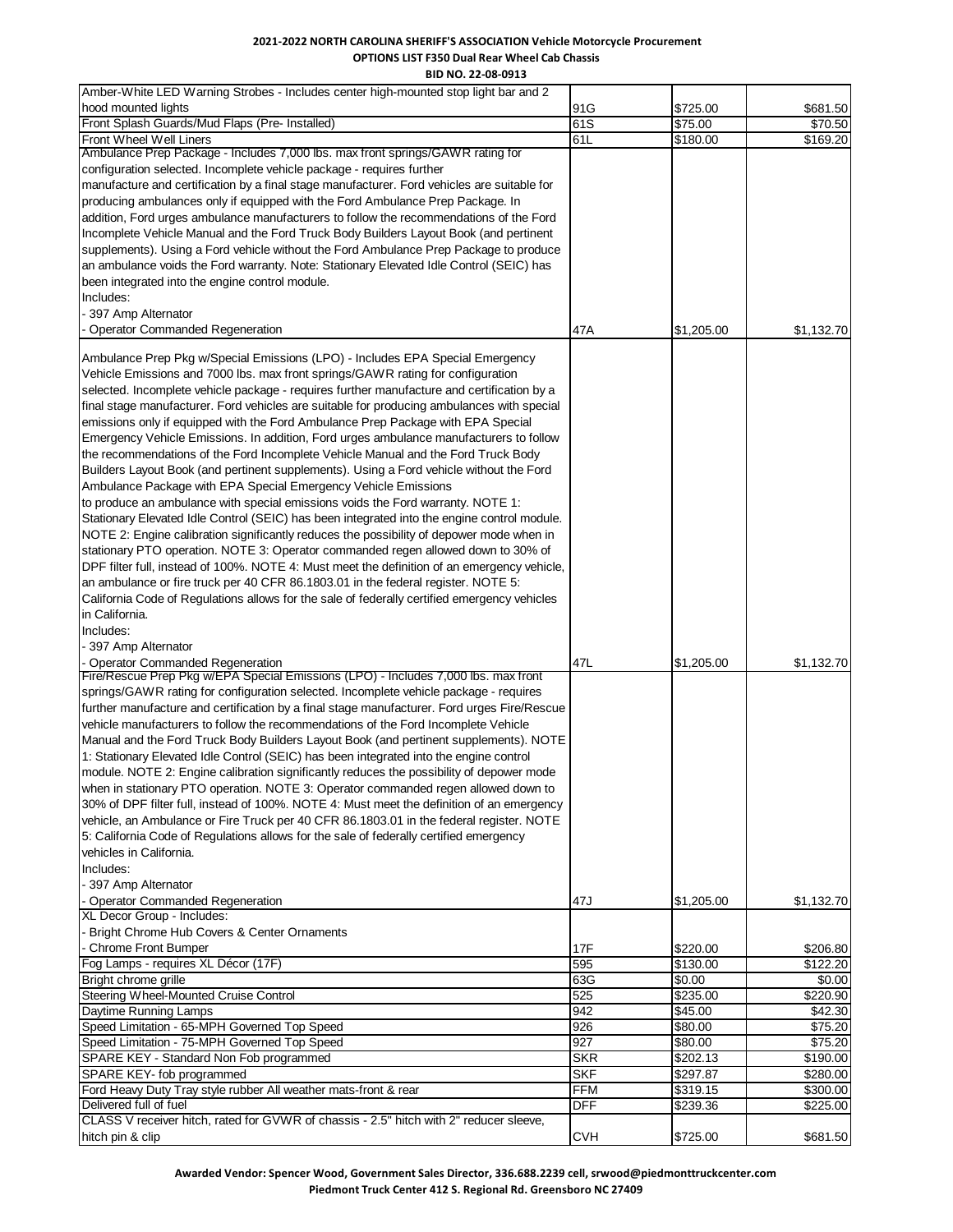## **2021-2022 NORTH CAROLINA SHERIFF'S ASSOCIATION Vehicle Motorcycle Procurement OPTIONS LIST F350 Dual Rear Wheel Cab Chassis**

**BID NO. 22-08-0913**

| Amber-White LED Warning Strobes - Includes center high-mounted stop light bar and 2          |            |            |            |
|----------------------------------------------------------------------------------------------|------------|------------|------------|
| hood mounted lights                                                                          | 91G        | \$725.00   | \$681.50   |
| Front Splash Guards/Mud Flaps (Pre- Installed)                                               | 61S        | \$75.00    | \$70.50    |
| Front Wheel Well Liners                                                                      | 61L        | \$180.00   | \$169.20   |
| Ambulance Prep Package - Includes 7,000 lbs. max front springs/GAWR rating for               |            |            |            |
| configuration selected. Incomplete vehicle package - requires further                        |            |            |            |
| manufacture and certification by a final stage manufacturer. Ford vehicles are suitable for  |            |            |            |
| producing ambulances only if equipped with the Ford Ambulance Prep Package. In               |            |            |            |
| addition, Ford urges ambulance manufacturers to follow the recommendations of the Ford       |            |            |            |
|                                                                                              |            |            |            |
| Incomplete Vehicle Manual and the Ford Truck Body Builders Layout Book (and pertinent        |            |            |            |
| supplements). Using a Ford vehicle without the Ford Ambulance Prep Package to produce        |            |            |            |
| an ambulance voids the Ford warranty. Note: Stationary Elevated Idle Control (SEIC) has      |            |            |            |
| been integrated into the engine control module.                                              |            |            |            |
| Includes:                                                                                    |            |            |            |
| - 397 Amp Alternator                                                                         |            |            |            |
| <b>Operator Commanded Regeneration</b>                                                       | 47A        | \$1,205.00 | \$1,132.70 |
|                                                                                              |            |            |            |
| Ambulance Prep Pkg w/Special Emissions (LPO) - Includes EPA Special Emergency                |            |            |            |
| Vehicle Emissions and 7000 lbs. max front springs/GAWR rating for configuration              |            |            |            |
| selected. Incomplete vehicle package - requires further manufacture and certification by a   |            |            |            |
| final stage manufacturer. Ford vehicles are suitable for producing ambulances with special   |            |            |            |
| emissions only if equipped with the Ford Ambulance Prep Package with EPA Special             |            |            |            |
| Emergency Vehicle Emissions. In addition, Ford urges ambulance manufacturers to follow       |            |            |            |
|                                                                                              |            |            |            |
| the recommendations of the Ford Incomplete Vehicle Manual and the Ford Truck Body            |            |            |            |
| Builders Layout Book (and pertinent supplements). Using a Ford vehicle without the Ford      |            |            |            |
| Ambulance Package with EPA Special Emergency Vehicle Emissions                               |            |            |            |
| to produce an ambulance with special emissions voids the Ford warranty. NOTE 1:              |            |            |            |
| Stationary Elevated Idle Control (SEIC) has been integrated into the engine control module.  |            |            |            |
| NOTE 2: Engine calibration significantly reduces the possibility of depower mode when in     |            |            |            |
| stationary PTO operation. NOTE 3: Operator commanded regen allowed down to 30% of            |            |            |            |
| DPF filter full, instead of 100%. NOTE 4: Must meet the definition of an emergency vehicle,  |            |            |            |
| an ambulance or fire truck per 40 CFR 86.1803.01 in the federal register. NOTE 5:            |            |            |            |
| California Code of Regulations allows for the sale of federally certified emergency vehicles |            |            |            |
| in California.                                                                               |            |            |            |
|                                                                                              |            |            |            |
| Includes:                                                                                    |            |            |            |
| - 397 Amp Alternator                                                                         |            |            |            |
| - Operator Commanded Regeneration                                                            | 47L        | \$1,205.00 | \$1,132.70 |
| Fire/Rescue Prep Pkg w/EPA Special Emissions (LPO) - Includes 7,000 lbs. max front           |            |            |            |
| springs/GAWR rating for configuration selected. Incomplete vehicle package - requires        |            |            |            |
| further manufacture and certification by a final stage manufacturer. Ford urges Fire/Rescue  |            |            |            |
| vehicle manufacturers to follow the recommendations of the Ford Incomplete Vehicle           |            |            |            |
| Manual and the Ford Truck Body Builders Layout Book (and pertinent supplements). NOTE        |            |            |            |
| 1: Stationary Elevated Idle Control (SEIC) has been integrated into the engine control       |            |            |            |
| module. NOTE 2: Engine calibration significantly reduces the possibility of depower mode     |            |            |            |
| when in stationary PTO operation. NOTE 3: Operator commanded regen allowed down to           |            |            |            |
| 30% of DPF filter full, instead of 100%. NOTE 4: Must meet the definition of an emergency    |            |            |            |
|                                                                                              |            |            |            |
| vehicle, an Ambulance or Fire Truck per 40 CFR 86.1803.01 in the federal register. NOTE      |            |            |            |
| 5: California Code of Regulations allows for the sale of federally certified emergency       |            |            |            |
| vehicles in California.                                                                      |            |            |            |
| Includes:                                                                                    |            |            |            |
| - 397 Amp Alternator                                                                         |            |            |            |
| - Operator Commanded Regeneration                                                            | 47J        | \$1,205.00 | \$1,132.70 |
| XL Decor Group - Includes:                                                                   |            |            |            |
| - Bright Chrome Hub Covers & Center Ornaments                                                |            |            |            |
| - Chrome Front Bumper                                                                        | 17F        | \$220.00   | \$206.80   |
| Fog Lamps - requires XL Décor (17F)                                                          | 595        | \$130.00   | \$122.20   |
| Bright chrome grille                                                                         | 63G        | \$0.00     | \$0.00     |
| Steering Wheel-Mounted Cruise Control                                                        | 525        | \$235.00   | \$220.90   |
|                                                                                              |            | \$45.00    |            |
| Daytime Running Lamps                                                                        | 942        |            | \$42.30    |
| Speed Limitation - 65-MPH Governed Top Speed                                                 | 926        | \$80.00    | \$75.20    |
| Speed Limitation - 75-MPH Governed Top Speed                                                 | 927        | \$80.00    | \$75.20    |
| SPARE KEY - Standard Non Fob programmed                                                      | <b>SKR</b> | \$202.13   | \$190.00   |
| SPARE KEY- fob programmed                                                                    | <b>SKF</b> | \$297.87   | \$280.00   |
| Ford Heavy Duty Tray style rubber All weather mats-front & rear                              | <b>FFM</b> | \$319.15   | \$300.00   |
| Delivered full of fuel                                                                       | <b>DFF</b> | \$239.36   | \$225.00   |
| CLASS V receiver hitch, rated for GVWR of chassis - 2.5" hitch with 2" reducer sleeve,       |            |            |            |
| hitch pin & clip                                                                             | <b>CVH</b> | \$725.00   | \$681.50   |

**Awarded Vendor: Spencer Wood, Government Sales Director, 336.688.2239 cell, srwood@piedmonttruckcenter.com Piedmont Truck Center 412 S. Regional Rd. Greensboro NC 27409**